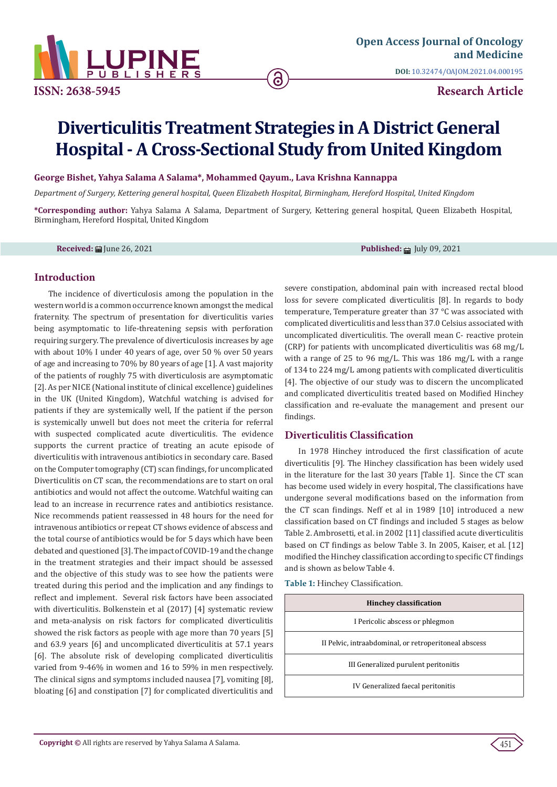

**ISSN: 2638-5945 Research Article**

# **Diverticulitis Treatment Strategies in A District General Hospital - A Cross-Sectional Study from United Kingdom**

ခ

**George Bishet, Yahya Salama A Salama\*, Mohammed Qayum., Lava Krishna Kannappa**

*Department of Surgery, Kettering general hospital, Queen Elizabeth Hospital, Birmingham, Hereford Hospital, United Kingdom*

**\*Corresponding author:** Yahya Salama A Salama, Department of Surgery, Kettering general hospital, Queen Elizabeth Hospital, Birmingham, Hereford Hospital, United Kingdom

**Received:** | June 26, 2021 **Published:** | July 09, 2021

#### **Introduction**

The incidence of diverticulosis among the population in the western world is a common occurrence known amongst the medical fraternity. The spectrum of presentation for diverticulitis varies being asymptomatic to life-threatening sepsis with perforation requiring surgery. The prevalence of diverticulosis increases by age with about 10% I under 40 years of age, over 50 % over 50 years of age and increasing to 70% by 80 years of age [1]. A vast majority of the patients of roughly 75 with diverticulosis are asymptomatic [2]. As per NICE (National institute of clinical excellence) guidelines in the UK (United Kingdom), Watchful watching is advised for patients if they are systemically well, If the patient if the person is systemically unwell but does not meet the criteria for referral with suspected complicated acute diverticulitis. The evidence supports the current practice of treating an acute episode of diverticulitis with intravenous antibiotics in secondary care. Based on the Computer tomography (CT) scan findings, for uncomplicated Diverticulitis on CT scan, the recommendations are to start on oral antibiotics and would not affect the outcome. Watchful waiting can lead to an increase in recurrence rates and antibiotics resistance. Nice recommends patient reassessed in 48 hours for the need for intravenous antibiotics or repeat CT shows evidence of abscess and the total course of antibiotics would be for 5 days which have been debated and questioned [3]. The impact of COVID-19 and the change in the treatment strategies and their impact should be assessed and the objective of this study was to see how the patients were treated during this period and the implication and any findings to reflect and implement. Several risk factors have been associated with diverticulitis. Bolkenstein et al (2017) [4] systematic review and meta-analysis on risk factors for complicated diverticulitis showed the risk factors as people with age more than 70 years [5] and 63.9 years [6] and uncomplicated diverticulitis at 57.1 years [6]. The absolute risk of developing complicated diverticulitis varied from 9-46% in women and 16 to 59% in men respectively. The clinical signs and symptoms included nausea [7], vomiting [8], bloating [6] and constipation [7] for complicated diverticulitis and

severe constipation, abdominal pain with increased rectal blood loss for severe complicated diverticulitis [8]. In regards to body temperature, Temperature greater than 37 °C was associated with complicated diverticulitis and less than 37.0 Celsius associated with uncomplicated diverticulitis. The overall mean C- reactive protein (CRP) for patients with uncomplicated diverticulitis was 68 mg/L with a range of 25 to 96 mg/L. This was 186 mg/L with a range of 134 to 224 mg/L among patients with complicated diverticulitis [4]. The objective of our study was to discern the uncomplicated and complicated diverticulitis treated based on Modified Hinchey classification and re-evaluate the management and present our findings.

## **Diverticulitis Classification**

In 1978 Hinchey introduced the first classification of acute diverticulitis [9]. The Hinchey classification has been widely used in the literature for the last 30 years [Table 1]. Since the CT scan has become used widely in every hospital, The classifications have undergone several modifications based on the information from the CT scan findings. Neff et al in 1989 [10] introduced a new classification based on CT findings and included 5 stages as below Table 2. Ambrosetti, et al. in 2002 [11] classified acute diverticulitis based on CT findings as below Table 3. In 2005, Kaiser, et al. [12] modified the Hinchey classification according to specific CT findings and is shown as below Table 4.

**Table 1:** Hinchey Classification.

|                                                       | <b>Hinchey classification</b>        |  |  |
|-------------------------------------------------------|--------------------------------------|--|--|
|                                                       | I Pericolic abscess or phlegmon      |  |  |
| II Pelvic, intraabdominal, or retroperitoneal abscess |                                      |  |  |
|                                                       | III Generalized purulent peritonitis |  |  |
|                                                       | IV Generalized faecal peritonitis    |  |  |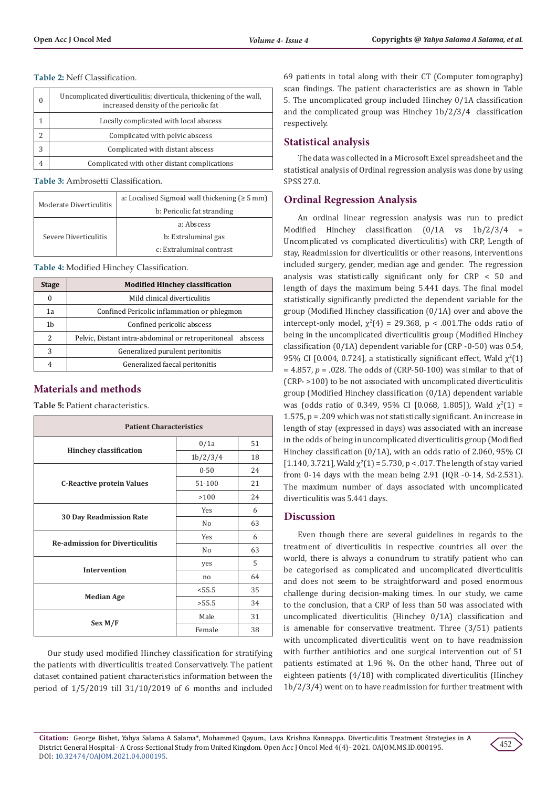**Table 2:** Neff Classification.

| 0 | Uncomplicated diverticulitis; diverticula, thickening of the wall,<br>increased density of the pericolic fat |  |
|---|--------------------------------------------------------------------------------------------------------------|--|
|   | Locally complicated with local abscess                                                                       |  |
|   | Complicated with pelvic abscess                                                                              |  |
| 3 | Complicated with distant abscess                                                                             |  |
| 4 | Complicated with other distant complications                                                                 |  |

**Table 3:** Ambrosetti Classification.

|                         | a: Localised Sigmoid wall thickening ( $\geq 5$ mm) |  |
|-------------------------|-----------------------------------------------------|--|
| Moderate Diverticulitis | b: Pericolic fat stranding                          |  |
|                         | a: Abscess                                          |  |
| Severe Diverticulitis   | b: Extraluminal gas                                 |  |
|                         | c: Extraluminal contrast                            |  |

**Table 4:** Modified Hinchey Classification.

| <b>Stage</b>  | <b>Modified Hinchey classification</b>                     |  |  |  |
|---------------|------------------------------------------------------------|--|--|--|
| 0             | Mild clinical diverticulitis                               |  |  |  |
| 1a            | Confined Pericolic inflammation or phlegmon                |  |  |  |
| 1b            | Confined pericolic abscess                                 |  |  |  |
| $\mathcal{P}$ | Pelvic, Distant intra-abdominal or retroperitoneal abscess |  |  |  |
| 3             | Generalized purulent peritonitis                           |  |  |  |
|               | Generalized faecal peritonitis                             |  |  |  |

## **Materials and methods**

**Table 5:** Patient characteristics.

| <b>Patient Characteristics</b>         |                |    |  |  |
|----------------------------------------|----------------|----|--|--|
|                                        | 0/1a           | 51 |  |  |
| <b>Hinchey classification</b>          | 1b/2/3/4       | 18 |  |  |
|                                        | $0 - 50$       | 24 |  |  |
| <b>C-Reactive protein Values</b>       | 51-100         | 21 |  |  |
|                                        | >100           | 24 |  |  |
|                                        | Yes            | 6  |  |  |
| <b>30 Day Readmission Rate</b>         | N <sub>o</sub> | 63 |  |  |
| <b>Re-admission for Diverticulitis</b> | Yes            | 6  |  |  |
|                                        | No             | 63 |  |  |
|                                        | yes            | 5  |  |  |
| <b>Intervention</b>                    | n <sub>0</sub> | 64 |  |  |
|                                        | < 55.5         | 35 |  |  |
| <b>Median Age</b>                      | >55.5          | 34 |  |  |
|                                        | Male           | 31 |  |  |
| Sex M/F                                | Female         | 38 |  |  |

Our study used modified Hinchey classification for stratifying the patients with diverticulitis treated Conservatively. The patient dataset contained patient characteristics information between the period of 1/5/2019 till 31/10/2019 of 6 months and included

69 patients in total along with their CT (Computer tomography) scan findings. The patient characteristics are as shown in Table 5. The uncomplicated group included Hinchey 0/1A classification and the complicated group was Hinchey 1b/2/3/4 classification respectively.

## **Statistical analysis**

The data was collected in a Microsoft Excel spreadsheet and the statistical analysis of Ordinal regression analysis was done by using SPSS 27.0.

## **Ordinal Regression Analysis**

An ordinal linear regression analysis was run to predict Modified Hinchey classification (0/1A vs 1b/2/3/4 = Uncomplicated vs complicated diverticulitis) with CRP, Length of stay, Readmission for diverticulitis or other reasons, interventions included surgery, gender, median age and gender. The regression analysis was statistically significant only for CRP < 50 and length of days the maximum being 5.441 days. The final model statistically significantly predicted the dependent variable for the group (Modified Hinchey classification (0/1A) over and above the intercept-only model,  $\chi^2(4) = 29.368$ , p < .001.The odds ratio of being in the uncomplicated diverticulitis group (Modified Hinchey classification (0/1A) dependent variable for (CRP -0-50) was 0.54, 95% CI [0.004, 0.724], a statistically significant effect, Wald  $\chi^2(1)$ = 4.857, *p* = .028. The odds of (CRP-50-100) was similar to that of (CRP- >100) to be not associated with uncomplicated diverticulitis group (Modified Hinchey classification (0/1A) dependent variable was (odds ratio of 0.349, 95% CI [0.068, 1.805]), Wald  $\chi^2(1)$  = 1.575, p = .209 which was not statistically significant. An increase in length of stay (expressed in days) was associated with an increase in the odds of being in uncomplicated diverticulitis group (Modified Hinchey classification (0/1A), with an odds ratio of 2.060, 95% CI  $[1.140, 3.721]$ , Wald  $\chi^2(1)$  = 5.730, p < .017. The length of stay varied from 0-14 days with the mean being 2.91 (IQR -0-14, Sd-2.531). The maximum number of days associated with uncomplicated diverticulitis was 5.441 days.

## **Discussion**

Even though there are several guidelines in regards to the treatment of diverticulitis in respective countries all over the world, there is always a conundrum to stratify patient who can be categorised as complicated and uncomplicated diverticulitis and does not seem to be straightforward and posed enormous challenge during decision-making times. In our study, we came to the conclusion, that a CRP of less than 50 was associated with uncomplicated diverticulitis (Hinchey 0/1A) classification and is amenable for conservative treatment. Three (3/51) patients with uncomplicated diverticulitis went on to have readmission with further antibiotics and one surgical intervention out of 51 patients estimated at 1.96 %. On the other hand, Three out of eighteen patients (4/18) with complicated diverticulitis (Hinchey 1b/2/3/4) went on to have readmission for further treatment with

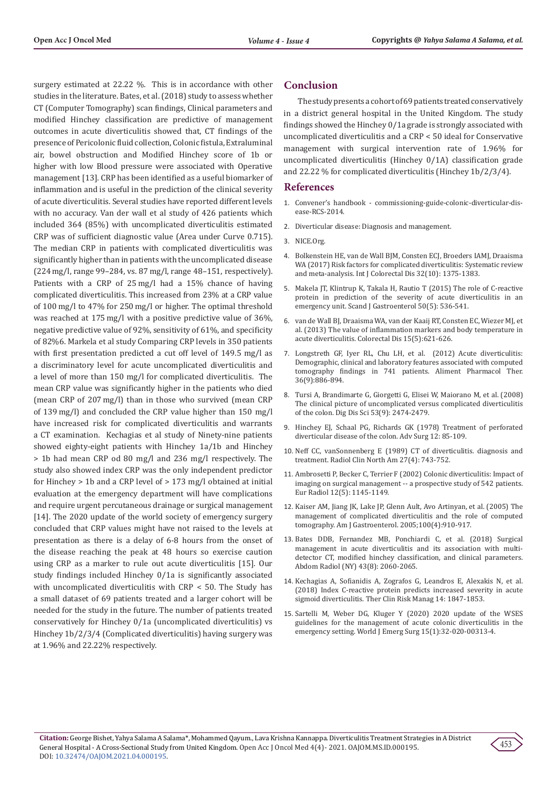surgery estimated at 22.22 %. This is in accordance with other studies in the literature. Bates, et al. (2018) study to assess whether CT (Computer Tomography) scan findings, Clinical parameters and modified Hinchey classification are predictive of management outcomes in acute diverticulitis showed that, CT findings of the presence of Pericolonic fluid collection, Colonic fistula, Extraluminal air, bowel obstruction and Modified Hinchey score of 1b or higher with low Blood pressure were associated with Operative management [13]. CRP has been identified as a useful biomarker of inflammation and is useful in the prediction of the clinical severity of acute diverticulitis. Several studies have reported different levels with no accuracy. Van der wall et al study of 426 patients which included 364 (85%) with uncomplicated diverticulitis estimated CRP was of sufficient diagnostic value (Area under Curve 0.715). The median CRP in patients with complicated diverticulitis was significantly higher than in patients with the uncomplicated disease (224 mg/l, range 99–284, vs. 87 mg/l, range 48–151, respectively). Patients with a CRP of 25 mg/l had a 15% chance of having complicated diverticulitis. This increased from 23% at a CRP value of 100 mg/l to 47% for 250 mg/l or higher. The optimal threshold was reached at 175 mg/l with a positive predictive value of 36%, negative predictive value of 92%, sensitivity of 61%, and specificity of 82%6. Markela et al study Comparing CRP levels in 350 patients with first presentation predicted a cut off level of 149.5 mg/l as a discriminatory level for acute uncomplicated diverticulitis and a level of more than 150 mg/l for complicated diverticulitis. The mean CRP value was significantly higher in the patients who died (mean CRP of 207 mg/l) than in those who survived (mean CRP of 139 mg/l) and concluded the CRP value higher than 150 mg/l have increased risk for complicated diverticulitis and warrants a CT examination. Kechagias et al study of Ninety-nine patients showed eighty-eight patients with Hinchey 1a/1b and Hinchey > 1b had mean CRP od 80 mg/l and 236 mg/l respectively. The study also showed index CRP was the only independent predictor for Hinchey > 1b and a CRP level of > 173 mg/l obtained at initial evaluation at the emergency department will have complications and require urgent percutaneous drainage or surgical management [14]. The 2020 update of the world society of emergency surgery concluded that CRP values might have not raised to the levels at presentation as there is a delay of 6-8 hours from the onset of the disease reaching the peak at 48 hours so exercise caution using CRP as a marker to rule out acute diverticulitis [15]. Our study findings included Hinchey 0/1a is significantly associated with uncomplicated diverticulitis with CRP < 50. The Study has a small dataset of 69 patients treated and a larger cohort will be needed for the study in the future. The number of patients treated conservatively for Hinchey 0/1a (uncomplicated diverticulitis) vs Hinchey 1b/2/3/4 (Complicated diverticulitis) having surgery was at 1.96% and 22.22% respectively.

#### **Conclusion**

The study presents a cohort of 69 patients treated conservatively in a district general hospital in the United Kingdom. The study findings showed the Hinchey 0/1a grade is strongly associated with uncomplicated diverticulitis and a CRP < 50 ideal for Conservative management with surgical intervention rate of 1.96% for uncomplicated diverticulitis (Hinchey 0/1A) classification grade and 22.22 % for complicated diverticulitis (Hinchey 1b/2/3/4).

#### **References**

- 1. Convener's handbook commissioning-guide-colonic-diverticular-disease-RCS-2014.
- 2. Diverticular disease: Diagnosis and management.
- 3. NICE.Org.
- 4. Bolkenstein HE, van de Wall BJM, Consten ECJ, Broeders IAMJ, Draaisma WA (2017) Risk factors for complicated diverticulitis: Systematic review and meta-analysis. Int J Colorectal Dis 32(10): 1375-1383.
- 5. [Makela JT, Klintrup K, Takala H, Rautio T \(2015\) The role of C-reactive](https://pubmed.ncbi.nlm.nih.gov/25665622/) [protein in prediction of the severity of acute diverticulitis in an](https://pubmed.ncbi.nlm.nih.gov/25665622/) [emergency unit. Scand J Gastroenterol 50\(5\): 536-541.](https://pubmed.ncbi.nlm.nih.gov/25665622/)
- 6. van de Wall BJ, Draaisma WA, van der Kaaij RT, Consten EC, Wiezer MJ, et al. (2013) The value of inflammation markers and body temperature in acute diverticulitis. Colorectal Dis 15(5):621-626.
- 7. [Longstreth GF, Iyer RL, Chu LH, et al. \(2012\) Acute diverticulitis:](https://pubmed.ncbi.nlm.nih.gov/22967027/) [Demographic, clinical and laboratory features associated with computed](https://pubmed.ncbi.nlm.nih.gov/22967027/) [tomography findings in 741 patients. Aliment Pharmacol Ther.](https://pubmed.ncbi.nlm.nih.gov/22967027/) [36\(9\):886-894.](https://pubmed.ncbi.nlm.nih.gov/22967027/)
- 8. [Tursi A, Brandimarte G, Giorgetti G, Elisei W, Maiorano M, et al. \(2008\)](https://pubmed.ncbi.nlm.nih.gov/18231855/) [The clinical picture of uncomplicated versus complicated diverticulitis](https://pubmed.ncbi.nlm.nih.gov/18231855/) [of the colon. Dig Dis Sci 53\(9\): 2474-2479.](https://pubmed.ncbi.nlm.nih.gov/18231855/)
- 9. [Hinchey EJ, Schaal PG, Richards GK \(1978\) Treatment of perforated](https://pubmed.ncbi.nlm.nih.gov/735943/) [diverticular disease of the colon. Adv Surg 12: 85-109.](https://pubmed.ncbi.nlm.nih.gov/735943/)
- 10. [Neff CC, vanSonnenberg E \(1989\) CT of diverticulitis. diagnosis and](https://pubmed.ncbi.nlm.nih.gov/2657852/) [treatment. Radiol Clin North Am 27\(4\): 743-752.](https://pubmed.ncbi.nlm.nih.gov/2657852/)
- 11. [Ambrosetti P, Becker C, Terrier F \(2002\) Colonic diverticulitis: Impact of](https://pubmed.ncbi.nlm.nih.gov/11976860/) [imaging on surgical management -- a prospective study of 542 patients.](https://pubmed.ncbi.nlm.nih.gov/11976860/) [Eur Radiol 12\(5\): 1145-1149.](https://pubmed.ncbi.nlm.nih.gov/11976860/)
- 12. [Kaiser AM, Jiang JK, Lake JP, Glenn Ault, Avo Artinyan, et al. \(2005\) The](https://pubmed.ncbi.nlm.nih.gov/15784040/) [management of complicated diverticulitis and the role of computed](https://pubmed.ncbi.nlm.nih.gov/15784040/) [tomography. Am J Gastroenterol. 2005;100\(4\):910-917.](https://pubmed.ncbi.nlm.nih.gov/15784040/)
- 13. [Bates DDB, Fernandez MB, Ponchiardi C, et al. \(2018\) Surgical](https://pubmed.ncbi.nlm.nih.gov/29204676/) [management in acute diverticulitis and its association with multi](https://pubmed.ncbi.nlm.nih.gov/29204676/)[detector CT, modified hinchey classification, and clinical parameters.](https://pubmed.ncbi.nlm.nih.gov/29204676/) [Abdom Radiol \(NY\) 43\(8\): 2060-2065.](https://pubmed.ncbi.nlm.nih.gov/29204676/)
- 14. [Kechagias A, Sofianidis A, Zografos G, Leandros E, Alexakis N, et al.](https://www.ncbi.nlm.nih.gov/pmc/articles/PMC6174315/) [\(2018\) Index C-reactive protein predicts increased severity in acute](https://www.ncbi.nlm.nih.gov/pmc/articles/PMC6174315/) [sigmoid diverticulitis. Ther Clin Risk Manag 14: 1847-1853.](https://www.ncbi.nlm.nih.gov/pmc/articles/PMC6174315/)
- 15. [Sartelli M, Weber DG, Kluger Y \(2020\) 2020 update of the WSES](https://wjes.biomedcentral.com/articles/10.1186/s13017-020-00313-4) [guidelines for the management of acute colonic diverticulitis in the](https://wjes.biomedcentral.com/articles/10.1186/s13017-020-00313-4) [emergency setting. World J Emerg Surg 15\(1\):32-020-00313-4.](https://wjes.biomedcentral.com/articles/10.1186/s13017-020-00313-4)